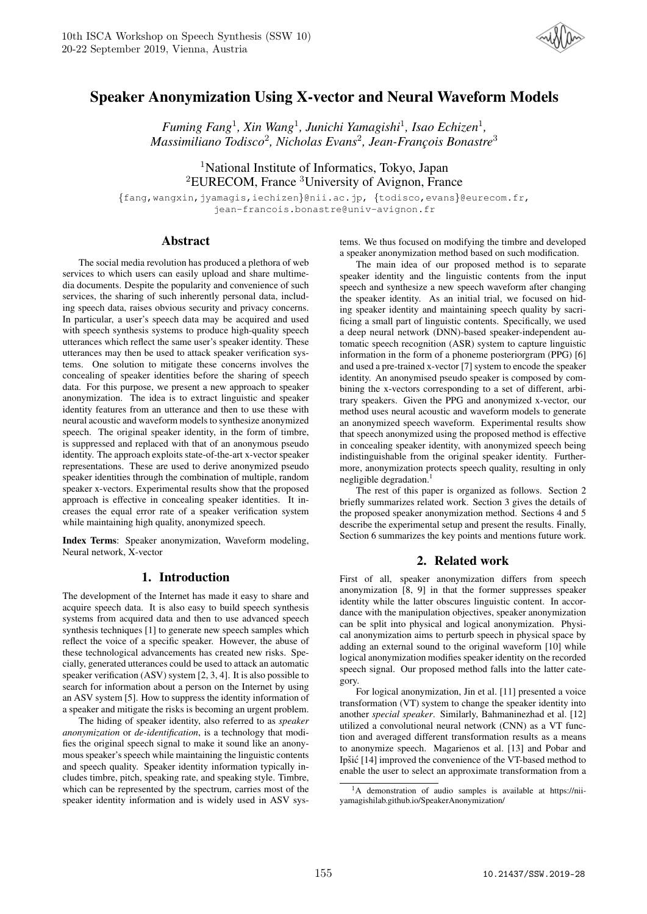

# Speaker Anonymization Using X-vector and Neural Waveform Models

*Fuming Fang*<sup>1</sup> *, Xin Wang*<sup>1</sup> *, Junichi Yamagishi*<sup>1</sup> *, Isao Echizen*<sup>1</sup> *, Massimiliano Todisco*<sup>2</sup> *, Nicholas Evans*<sup>2</sup> *, Jean-Franc¸ois Bonastre*<sup>3</sup>

<sup>1</sup>National Institute of Informatics, Tokyo, Japan <sup>2</sup>EURECOM, France <sup>3</sup>University of Avignon, France

{fang,wangxin,jyamagis,iechizen}@nii.ac.jp, {todisco,evans}@eurecom.fr, jean-francois.bonastre@univ-avignon.fr

### Abstract

The social media revolution has produced a plethora of web services to which users can easily upload and share multimedia documents. Despite the popularity and convenience of such services, the sharing of such inherently personal data, including speech data, raises obvious security and privacy concerns. In particular, a user's speech data may be acquired and used with speech synthesis systems to produce high-quality speech utterances which reflect the same user's speaker identity. These utterances may then be used to attack speaker verification systems. One solution to mitigate these concerns involves the concealing of speaker identities before the sharing of speech data. For this purpose, we present a new approach to speaker anonymization. The idea is to extract linguistic and speaker identity features from an utterance and then to use these with neural acoustic and waveform models to synthesize anonymized speech. The original speaker identity, in the form of timbre, is suppressed and replaced with that of an anonymous pseudo identity. The approach exploits state-of-the-art x-vector speaker representations. These are used to derive anonymized pseudo speaker identities through the combination of multiple, random speaker x-vectors. Experimental results show that the proposed approach is effective in concealing speaker identities. It increases the equal error rate of a speaker verification system while maintaining high quality, anonymized speech.

Index Terms: Speaker anonymization, Waveform modeling, Neural network, X-vector

# 1. Introduction

The development of the Internet has made it easy to share and acquire speech data. It is also easy to build speech synthesis systems from acquired data and then to use advanced speech synthesis techniques [1] to generate new speech samples which reflect the voice of a specific speaker. However, the abuse of these technological advancements has created new risks. Specially, generated utterances could be used to attack an automatic speaker verification (ASV) system [2, 3, 4]. It is also possible to search for information about a person on the Internet by using an ASV system [5]. How to suppress the identity information of a speaker and mitigate the risks is becoming an urgent problem.

The hiding of speaker identity, also referred to as *speaker anonymization* or *de-identification*, is a technology that modifies the original speech signal to make it sound like an anonymous speaker's speech while maintaining the linguistic contents and speech quality. Speaker identity information typically includes timbre, pitch, speaking rate, and speaking style. Timbre, which can be represented by the spectrum, carries most of the speaker identity information and is widely used in ASV systems. We thus focused on modifying the timbre and developed a speaker anonymization method based on such modification.

The main idea of our proposed method is to separate speaker identity and the linguistic contents from the input speech and synthesize a new speech waveform after changing the speaker identity. As an initial trial, we focused on hiding speaker identity and maintaining speech quality by sacrificing a small part of linguistic contents. Specifically, we used a deep neural network (DNN)-based speaker-independent automatic speech recognition (ASR) system to capture linguistic information in the form of a phoneme posteriorgram (PPG) [6] and used a pre-trained x-vector [7] system to encode the speaker identity. An anonymised pseudo speaker is composed by combining the x-vectors corresponding to a set of different, arbitrary speakers. Given the PPG and anonymized x-vector, our method uses neural acoustic and waveform models to generate an anonymized speech waveform. Experimental results show that speech anonymized using the proposed method is effective in concealing speaker identity, with anonymized speech being indistinguishable from the original speaker identity. Furthermore, anonymization protects speech quality, resulting in only negligible degradation.<sup>1</sup>

The rest of this paper is organized as follows. Section 2 briefly summarizes related work. Section 3 gives the details of the proposed speaker anonymization method. Sections 4 and 5 describe the experimental setup and present the results. Finally, Section 6 summarizes the key points and mentions future work.

# 2. Related work

First of all, speaker anonymization differs from speech anonymization [8, 9] in that the former suppresses speaker identity while the latter obscures linguistic content. In accordance with the manipulation objectives, speaker anonymization can be split into physical and logical anonymization. Physical anonymization aims to perturb speech in physical space by adding an external sound to the original waveform [10] while logical anonymization modifies speaker identity on the recorded speech signal. Our proposed method falls into the latter category.

For logical anonymization, Jin et al. [11] presented a voice transformation (VT) system to change the speaker identity into another *special speaker*. Similarly, Bahmaninezhad et al. [12] utilized a convolutional neural network (CNN) as a VT function and averaged different transformation results as a means to anonymize speech. Magarienos et al. [13] and Pobar and Ipšić [14] improved the convenience of the VT-based method to enable the user to select an approximate transformation from a

<sup>&</sup>lt;sup>1</sup>A demonstration of audio samples is available at https://niiyamagishilab.github.io/SpeakerAnonymization/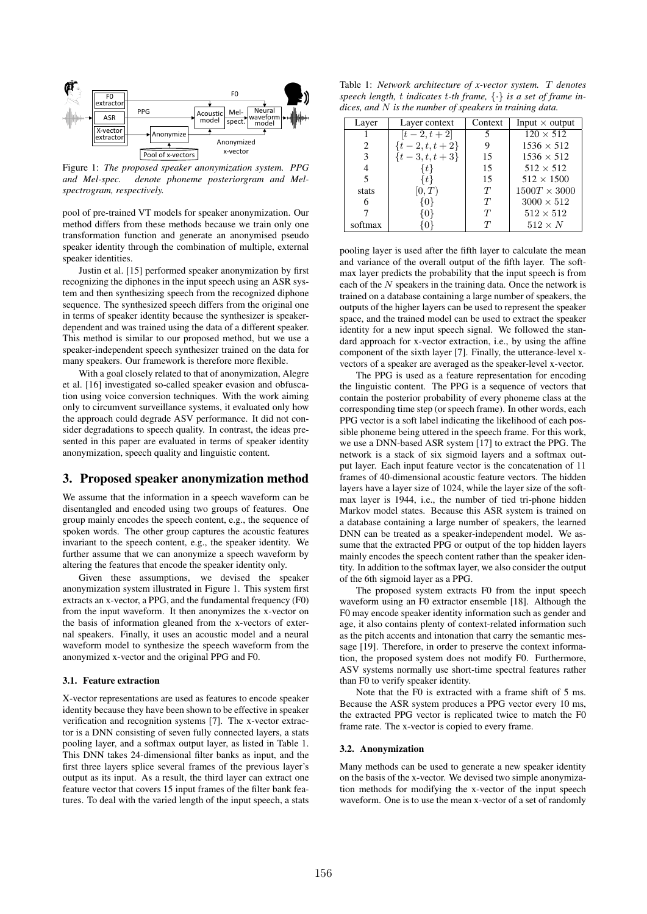

Figure 1: *The proposed speaker anonymization system. PPG and Mel-spec. denote phoneme posteriorgram and Melspectrogram, respectively.*

pool of pre-trained VT models for speaker anonymization. Our method differs from these methods because we train only one transformation function and generate an anonymised pseudo speaker identity through the combination of multiple, external speaker identities.

Justin et al. [15] performed speaker anonymization by first recognizing the diphones in the input speech using an ASR system and then synthesizing speech from the recognized diphone sequence. The synthesized speech differs from the original one in terms of speaker identity because the synthesizer is speakerdependent and was trained using the data of a different speaker. This method is similar to our proposed method, but we use a speaker-independent speech synthesizer trained on the data for many speakers. Our framework is therefore more flexible.

With a goal closely related to that of anonymization, Alegre et al. [16] investigated so-called speaker evasion and obfuscation using voice conversion techniques. With the work aiming only to circumvent surveillance systems, it evaluated only how the approach could degrade ASV performance. It did not consider degradations to speech quality. In contrast, the ideas presented in this paper are evaluated in terms of speaker identity anonymization, speech quality and linguistic content.

# 3. Proposed speaker anonymization method

We assume that the information in a speech waveform can be disentangled and encoded using two groups of features. One group mainly encodes the speech content, e.g., the sequence of spoken words. The other group captures the acoustic features invariant to the speech content, e.g., the speaker identity. We further assume that we can anonymize a speech waveform by altering the features that encode the speaker identity only.

Given these assumptions, we devised the speaker anonymization system illustrated in Figure 1. This system first extracts an x-vector, a PPG, and the fundamental frequency (F0) from the input waveform. It then anonymizes the x-vector on the basis of information gleaned from the x-vectors of external speakers. Finally, it uses an acoustic model and a neural waveform model to synthesize the speech waveform from the anonymized x-vector and the original PPG and F0.

#### 3.1. Feature extraction

X-vector representations are used as features to encode speaker identity because they have been shown to be effective in speaker verification and recognition systems [7]. The x-vector extractor is a DNN consisting of seven fully connected layers, a stats pooling layer, and a softmax output layer, as listed in Table 1. This DNN takes 24-dimensional filter banks as input, and the first three layers splice several frames of the previous layer's output as its input. As a result, the third layer can extract one feature vector that covers 15 input frames of the filter bank features. To deal with the varied length of the input speech, a stats

Table 1: *Network architecture of x-vector system.* T *denotes speech length,* t *indicates* t*-th frame,* {·} *is a set of frame indices, and* N *is the number of speakers in training data.*

| Layer   | Layer context      | Context | Input $\times$ output |
|---------|--------------------|---------|-----------------------|
|         | $[t-2, t+2]$       | 5       | $120 \times 512$      |
| 2       | $\{t-2, t, t+2\}$  |         | $1536 \times 512$     |
| 3       | $\{t-3, t, t+3\}$  | 15      | $1536 \times 512$     |
|         | ₹ŧ                 | 15      | $512 \times 512$      |
| 5       | $\{t\}$            | 15      | $512 \times 1500$     |
| stats   | [0,T)              | T       | $1500T \times 3000$   |
| 6       | {0}                | T       | $3000 \times 512$     |
|         | $\left[ 0 \right]$ | T       | $512 \times 512$      |
| softmax |                    |         | $512 \times N$        |

pooling layer is used after the fifth layer to calculate the mean and variance of the overall output of the fifth layer. The softmax layer predicts the probability that the input speech is from each of the  $N$  speakers in the training data. Once the network is trained on a database containing a large number of speakers, the outputs of the higher layers can be used to represent the speaker space, and the trained model can be used to extract the speaker identity for a new input speech signal. We followed the standard approach for x-vector extraction, i.e., by using the affine component of the sixth layer [7]. Finally, the utterance-level xvectors of a speaker are averaged as the speaker-level x-vector.

The PPG is used as a feature representation for encoding the linguistic content. The PPG is a sequence of vectors that contain the posterior probability of every phoneme class at the corresponding time step (or speech frame). In other words, each PPG vector is a soft label indicating the likelihood of each possible phoneme being uttered in the speech frame. For this work, we use a DNN-based ASR system [17] to extract the PPG. The network is a stack of six sigmoid layers and a softmax output layer. Each input feature vector is the concatenation of 11 frames of 40-dimensional acoustic feature vectors. The hidden layers have a layer size of 1024, while the layer size of the softmax layer is 1944, i.e., the number of tied tri-phone hidden Markov model states. Because this ASR system is trained on a database containing a large number of speakers, the learned DNN can be treated as a speaker-independent model. We assume that the extracted PPG or output of the top hidden layers mainly encodes the speech content rather than the speaker identity. In addition to the softmax layer, we also consider the output of the 6th sigmoid layer as a PPG.

The proposed system extracts F0 from the input speech waveform using an F0 extractor ensemble [18]. Although the F0 may encode speaker identity information such as gender and age, it also contains plenty of context-related information such as the pitch accents and intonation that carry the semantic message [19]. Therefore, in order to preserve the context information, the proposed system does not modify F0. Furthermore, ASV systems normally use short-time spectral features rather than F0 to verify speaker identity.

Note that the F0 is extracted with a frame shift of 5 ms. Because the ASR system produces a PPG vector every 10 ms, the extracted PPG vector is replicated twice to match the F0 frame rate. The x-vector is copied to every frame.

#### 3.2. Anonymization

Many methods can be used to generate a new speaker identity on the basis of the x-vector. We devised two simple anonymization methods for modifying the x-vector of the input speech waveform. One is to use the mean x-vector of a set of randomly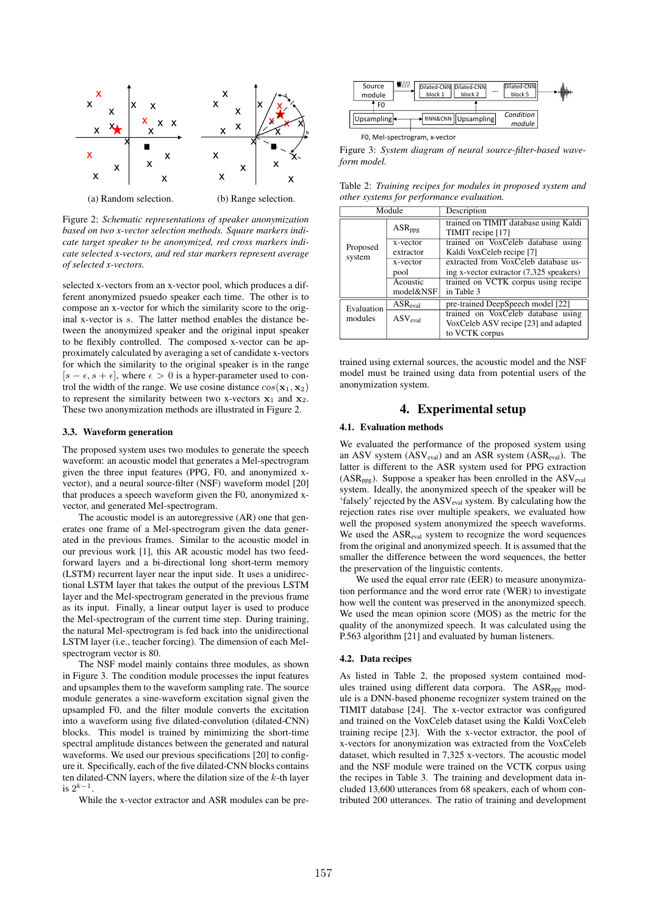

Figure 2: *Schematic representations of speaker anonymization based on two x-vector selection methods. Square markers indicate target speaker to be anonymized, red cross markers indicate selected x-vectors, and red star markers represent average of selected x-vectors.*

selected x-vectors from an x-vector pool, which produces a different anonymized psuedo speaker each time. The other is to compose an x-vector for which the similarity score to the original x-vector is s. The latter method enables the distance between the anonymized speaker and the original input speaker to be flexibly controlled. The composed x-vector can be approximately calculated by averaging a set of candidate x-vectors for which the similarity to the original speaker is in the range  $[s - \epsilon, s + \epsilon]$ , where  $\epsilon > 0$  is a hyper-parameter used to control the width of the range. We use cosine distance  $cos(\mathbf{x}_1, \mathbf{x}_2)$ to represent the similarity between two x-vectors  $x_1$  and  $x_2$ . These two anonymization methods are illustrated in Figure 2.

### 3.3. Waveform generation

The proposed system uses two modules to generate the speech waveform: an acoustic model that generates a Mel-spectrogram given the three input features (PPG, F0, and anonymized xvector), and a neural source-filter (NSF) waveform model [20] that produces a speech waveform given the F0, anonymized xvector, and generated Mel-spectrogram.

The acoustic model is an autoregressive (AR) one that generates one frame of a Mel-spectrogram given the data generated in the previous frames. Similar to the acoustic model in our previous work [1], this AR acoustic model has two feedforward layers and a bi-directional long short-term memory (LSTM) recurrent layer near the input side. It uses a unidirectional LSTM layer that takes the output of the previous LSTM layer and the Mel-spectrogram generated in the previous frame as its input. Finally, a linear output layer is used to produce the Mel-spectrogram of the current time step. During training, the natural Mel-spectrogram is fed back into the unidirectional LSTM layer (i.e., teacher forcing). The dimension of each Melspectrogram vector is 80.

The NSF model mainly contains three modules, as shown in Figure 3. The condition module processes the input features and upsamples them to the waveform sampling rate. The source module generates a sine-waveform excitation signal given the upsampled F0, and the filter module converts the excitation into a waveform using five dilated-convolution (dilated-CNN) blocks. This model is trained by minimizing the short-time spectral amplitude distances between the generated and natural waveforms. We used our previous specifications [20] to configure it. Specifically, each of the five dilated-CNN blocks contains ten dilated-CNN layers, where the dilation size of the  $k$ -th layer is  $2^{k-1}$ .

While the x-vector extractor and ASR modules can be pre-



F0, Mel-spectrogram, x-vector

Figure 3: *System diagram of neural source-filter-based waveform model.*

Table 2: *Training recipes for modules in proposed system and other systems for performance evaluation.*

| Module                     |                     | Description                             |  |  |
|----------------------------|---------------------|-----------------------------------------|--|--|
|                            | ASR <sub>ppg</sub>  | trained on TIMIT database using Kaldi   |  |  |
|                            |                     | TIMIT recipe [17]                       |  |  |
| Proposed                   | x-vector            | trained on VoxCeleb database using      |  |  |
| system                     | extractor           | Kaldi VoxCeleb recipe [7]               |  |  |
|                            | x-vector            | extracted from VoxCeleb database us-    |  |  |
|                            | pool                | ing x-vector extractor (7,325 speakers) |  |  |
|                            | Acoustic            | trained on VCTK corpus using recipe     |  |  |
|                            | model&NSF           | in Table 3                              |  |  |
| $ASR_{eval}$<br>Evaluation |                     | pre-trained DeepSpeech model [22]       |  |  |
| modules                    | ASV <sub>eval</sub> | trained on VoxCeleb database using      |  |  |
|                            |                     | VoxCeleb ASV recipe [23] and adapted    |  |  |
|                            |                     | to VCTK corpus                          |  |  |

trained using external sources, the acoustic model and the NSF model must be trained using data from potential users of the anonymization system.

# 4. Experimental setup

### 4.1. Evaluation methods

We evaluated the performance of the proposed system using an ASV system (ASV<sub>eval</sub>) and an ASR system (ASR<sub>eval</sub>). The latter is different to the ASR system used for PPG extraction (ASR<sub>ppg</sub>). Suppose a speaker has been enrolled in the ASV<sub>eval</sub> system. Ideally, the anonymized speech of the speaker will be 'falsely' rejected by the ASV<sub>eval</sub> system. By calculating how the rejection rates rise over multiple speakers, we evaluated how well the proposed system anonymized the speech waveforms. We used the ASReval system to recognize the word sequences from the original and anonymized speech. It is assumed that the smaller the difference between the word sequences, the better the preservation of the linguistic contents.

We used the equal error rate (EER) to measure anonymization performance and the word error rate (WER) to investigate how well the content was preserved in the anonymized speech. We used the mean opinion score (MOS) as the metric for the quality of the anonymized speech. It was calculated using the P.563 algorithm [21] and evaluated by human listeners.

#### 4.2. Data recipes

As listed in Table 2, the proposed system contained modules trained using different data corpora. The ASR<sub>ppg</sub> module is a DNN-based phoneme recognizer system trained on the TIMIT database [24]. The x-vector extractor was configured and trained on the VoxCeleb dataset using the Kaldi VoxCeleb training recipe [23]. With the x-vector extractor, the pool of x-vectors for anonymization was extracted from the VoxCeleb dataset, which resulted in 7,325 x-vectors. The acoustic model and the NSF module were trained on the VCTK corpus using the recipes in Table 3. The training and development data included 13,600 utterances from 68 speakers, each of whom contributed 200 utterances. The ratio of training and development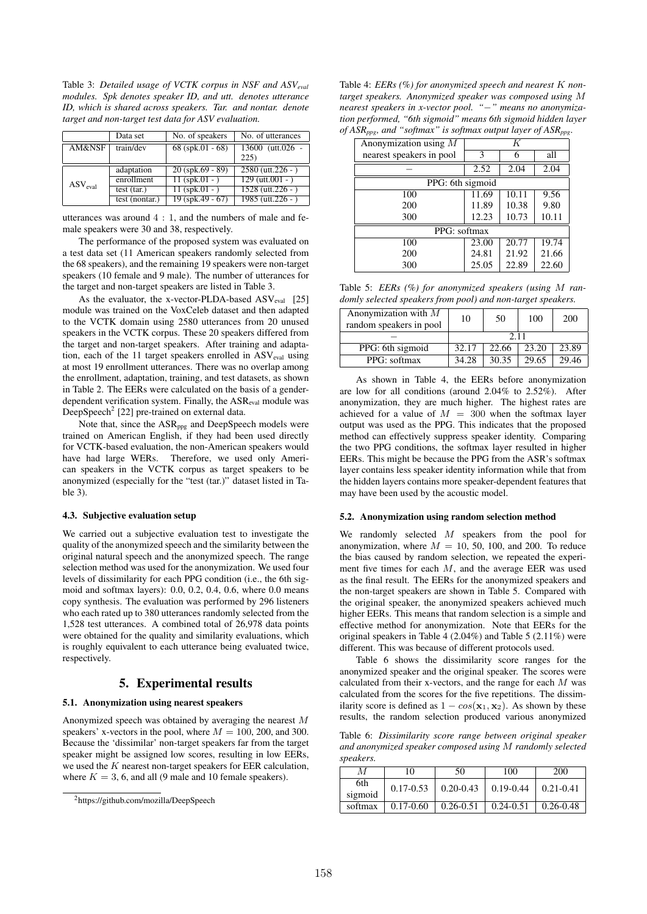Table 3: *Detailed usage of VCTK corpus in NSF and ASVeval modules. Spk denotes speaker ID, and utt. denotes utterance ID, which is shared across speakers. Tar. and nontar. denote target and non-target test data for ASV evaluation.*

|                                    | Data set       | No. of speakers    | No. of utterances        |
|------------------------------------|----------------|--------------------|--------------------------|
| AM&NSF                             | train/dev      | 68 (spk.01 - 68)   | 13600 (utt.026 -<br>225) |
| $\operatorname{ASV}_{\text{eval}}$ | adaptation     | $20$ (spk.69 - 89) | $2580$ (utt.226 - )      |
|                                    | enrollment     | $11$ (spk.01 - )   | $129$ (utt.001 - )       |
|                                    | test (tar.)    | $11$ (spk.01 - )   | $1528$ (utt. 226 - )     |
|                                    | test (nontar.) | $19$ (spk.49 - 67) | $1985$ (utt. 226 - )     |

utterances was around 4 : 1, and the numbers of male and female speakers were 30 and 38, respectively.

The performance of the proposed system was evaluated on a test data set (11 American speakers randomly selected from the 68 speakers), and the remaining 19 speakers were non-target speakers (10 female and 9 male). The number of utterances for the target and non-target speakers are listed in Table 3.

As the evaluator, the x-vector-PLDA-based  $ASV_{eval}$  [25] module was trained on the VoxCeleb dataset and then adapted to the VCTK domain using 2580 utterances from 20 unused speakers in the VCTK corpus. These 20 speakers differed from the target and non-target speakers. After training and adaptation, each of the 11 target speakers enrolled in ASV<sub>eval</sub> using at most 19 enrollment utterances. There was no overlap among the enrollment, adaptation, training, and test datasets, as shown in Table 2. The EERs were calculated on the basis of a genderdependent verification system. Finally, the ASReval module was DeepSpeech<sup>2</sup> [22] pre-trained on external data.

Note that, since the ASR<sub>ppg</sub> and DeepSpeech models were trained on American English, if they had been used directly for VCTK-based evaluation, the non-American speakers would have had large WERs. Therefore, we used only American speakers in the VCTK corpus as target speakers to be anonymized (especially for the "test (tar.)" dataset listed in Table 3).

### 4.3. Subjective evaluation setup

We carried out a subjective evaluation test to investigate the quality of the anonymized speech and the similarity between the original natural speech and the anonymized speech. The range selection method was used for the anonymization. We used four levels of dissimilarity for each PPG condition (i.e., the 6th sigmoid and softmax layers): 0.0, 0.2, 0.4, 0.6, where 0.0 means copy synthesis. The evaluation was performed by 296 listeners who each rated up to 380 utterances randomly selected from the 1,528 test utterances. A combined total of 26,978 data points were obtained for the quality and similarity evaluations, which is roughly equivalent to each utterance being evaluated twice, respectively.

# 5. Experimental results

#### 5.1. Anonymization using nearest speakers

Anonymized speech was obtained by averaging the nearest M speakers' x-vectors in the pool, where  $M = 100, 200,$  and 300. Because the 'dissimilar' non-target speakers far from the target speaker might be assigned low scores, resulting in low EERs, we used the  $K$  nearest non-target speakers for EER calculation, where  $K = 3, 6$ , and all (9 male and 10 female speakers).

Table 4: *EERs (%) for anonymized speech and nearest* K *nontarget speakers. Anonymized speaker was composed using* M *nearest speakers in x-vector pool. "*−*" means no anonymization performed, "6th sigmoid" means 6th sigmoid hidden layer of ASRppg, and "softmax" is softmax output layer of ASRppg.*

| ishippo, ana sofinasi is sofinasi olipin iayer of rishippo |       |       |       |  |  |
|------------------------------------------------------------|-------|-------|-------|--|--|
| Anonymization using $M$                                    | K     |       |       |  |  |
| nearest speakers in pool                                   | 3     | 6     | all   |  |  |
|                                                            | 2.52  | 2.04  | 2.04  |  |  |
| PPG: 6th sigmoid                                           |       |       |       |  |  |
| 100                                                        | 11.69 | 10.11 | 9.56  |  |  |
| 200                                                        | 11.89 | 10.38 | 9.80  |  |  |
| 300                                                        | 12.23 | 10.73 | 10.11 |  |  |
| PPG: softmax                                               |       |       |       |  |  |
| 100                                                        | 23.00 | 20.77 | 19.74 |  |  |
| 200                                                        | 24.81 | 21.92 | 21.66 |  |  |
| 300                                                        | 25.05 | 22.89 | 22.60 |  |  |

Table 5: *EERs (%) for anonymized speakers (using* M *randomly selected speakers from pool) and non-target speakers.*

| Anonymization with $M$<br>random speakers in pool | 10    | 50    | 100   | 200   |
|---------------------------------------------------|-------|-------|-------|-------|
|                                                   | 2.11  |       |       |       |
| PPG: 6th sigmoid                                  | 32.17 | 22.66 | 23.20 | 23.89 |
| PPG: softmax                                      | 34.28 | 30.35 | 29.65 | 29.46 |

As shown in Table 4, the EERs before anonymization are low for all conditions (around 2.04% to 2.52%). After anonymization, they are much higher. The highest rates are achieved for a value of  $M = 300$  when the softmax layer output was used as the PPG. This indicates that the proposed method can effectively suppress speaker identity. Comparing the two PPG conditions, the softmax layer resulted in higher EERs. This might be because the PPG from the ASR's softmax layer contains less speaker identity information while that from the hidden layers contains more speaker-dependent features that may have been used by the acoustic model.

#### 5.2. Anonymization using random selection method

We randomly selected  $M$  speakers from the pool for anonymization, where  $M = 10, 50, 100,$  and 200. To reduce the bias caused by random selection, we repeated the experiment five times for each  $M$ , and the average EER was used as the final result. The EERs for the anonymized speakers and the non-target speakers are shown in Table 5. Compared with the original speaker, the anonymized speakers achieved much higher EERs. This means that random selection is a simple and effective method for anonymization. Note that EERs for the original speakers in Table 4 (2.04%) and Table 5 (2.11%) were different. This was because of different protocols used.

Table 6 shows the dissimilarity score ranges for the anonymized speaker and the original speaker. The scores were calculated from their x-vectors, and the range for each M was calculated from the scores for the five repetitions. The dissimilarity score is defined as  $1 - cos(\mathbf{x}_1, \mathbf{x}_2)$ . As shown by these results, the random selection produced various anonymized

Table 6: *Dissimilarity score range between original speaker and anonymized speaker composed using* M *randomly selected speakers.*

| М              | 10            | 50            | 100                     | 200              |
|----------------|---------------|---------------|-------------------------|------------------|
| 6th<br>sigmoid | $0.17 - 0.53$ |               | $0.20 - 0.43$ 0.19-0.44 | $\mid$ 0.21-0.41 |
| softmax        | $0.17 - 0.60$ | $0.26 - 0.51$ | $0.24 - 0.51$           | $0.26 - 0.48$    |

<sup>2</sup>https://github.com/mozilla/DeepSpeech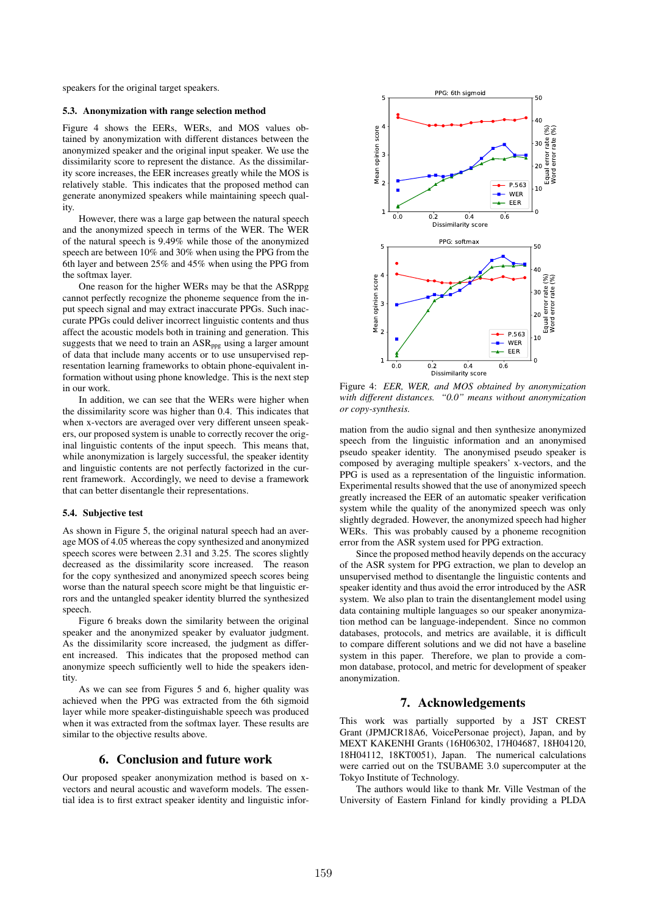speakers for the original target speakers.

#### 5.3. Anonymization with range selection method

Figure 4 shows the EERs, WERs, and MOS values obtained by anonymization with different distances between the anonymized speaker and the original input speaker. We use the dissimilarity score to represent the distance. As the dissimilarity score increases, the EER increases greatly while the MOS is relatively stable. This indicates that the proposed method can generate anonymized speakers while maintaining speech quality.

However, there was a large gap between the natural speech and the anonymized speech in terms of the WER. The WER of the natural speech is 9.49% while those of the anonymized speech are between 10% and 30% when using the PPG from the 6th layer and between 25% and 45% when using the PPG from the softmax layer.

One reason for the higher WERs may be that the ASRppg cannot perfectly recognize the phoneme sequence from the input speech signal and may extract inaccurate PPGs. Such inaccurate PPGs could deliver incorrect linguistic contents and thus affect the acoustic models both in training and generation. This suggests that we need to train an  $ASR_{\text{ppg}}$  using a larger amount of data that include many accents or to use unsupervised representation learning frameworks to obtain phone-equivalent information without using phone knowledge. This is the next step in our work.

In addition, we can see that the WERs were higher when the dissimilarity score was higher than 0.4. This indicates that when x-vectors are averaged over very different unseen speakers, our proposed system is unable to correctly recover the original linguistic contents of the input speech. This means that, while anonymization is largely successful, the speaker identity and linguistic contents are not perfectly factorized in the current framework. Accordingly, we need to devise a framework that can better disentangle their representations.

#### 5.4. Subjective test

As shown in Figure 5, the original natural speech had an average MOS of 4.05 whereas the copy synthesized and anonymized speech scores were between 2.31 and 3.25. The scores slightly decreased as the dissimilarity score increased. The reason for the copy synthesized and anonymized speech scores being worse than the natural speech score might be that linguistic errors and the untangled speaker identity blurred the synthesized speech.

Figure 6 breaks down the similarity between the original speaker and the anonymized speaker by evaluator judgment. As the dissimilarity score increased, the judgment as different increased. This indicates that the proposed method can anonymize speech sufficiently well to hide the speakers identity.

As we can see from Figures 5 and 6, higher quality was achieved when the PPG was extracted from the 6th sigmoid layer while more speaker-distinguishable speech was produced when it was extracted from the softmax layer. These results are similar to the objective results above.

### 6. Conclusion and future work

Our proposed speaker anonymization method is based on xvectors and neural acoustic and waveform models. The essential idea is to first extract speaker identity and linguistic infor-



Figure 4: *EER, WER, and MOS obtained by anonymization with different distances. "0.0" means without anonymization or copy-synthesis.*

mation from the audio signal and then synthesize anonymized speech from the linguistic information and an anonymised pseudo speaker identity. The anonymised pseudo speaker is composed by averaging multiple speakers' x-vectors, and the PPG is used as a representation of the linguistic information. Experimental results showed that the use of anonymized speech greatly increased the EER of an automatic speaker verification system while the quality of the anonymized speech was only slightly degraded. However, the anonymized speech had higher WERs. This was probably caused by a phoneme recognition error from the ASR system used for PPG extraction.

Since the proposed method heavily depends on the accuracy of the ASR system for PPG extraction, we plan to develop an unsupervised method to disentangle the linguistic contents and speaker identity and thus avoid the error introduced by the ASR system. We also plan to train the disentanglement model using data containing multiple languages so our speaker anonymization method can be language-independent. Since no common databases, protocols, and metrics are available, it is difficult to compare different solutions and we did not have a baseline system in this paper. Therefore, we plan to provide a common database, protocol, and metric for development of speaker anonymization.

### 7. Acknowledgements

This work was partially supported by a JST CREST Grant (JPMJCR18A6, VoicePersonae project), Japan, and by MEXT KAKENHI Grants (16H06302, 17H04687, 18H04120, 18H04112, 18KT0051), Japan. The numerical calculations were carried out on the TSUBAME 3.0 supercomputer at the Tokyo Institute of Technology.

The authors would like to thank Mr. Ville Vestman of the University of Eastern Finland for kindly providing a PLDA